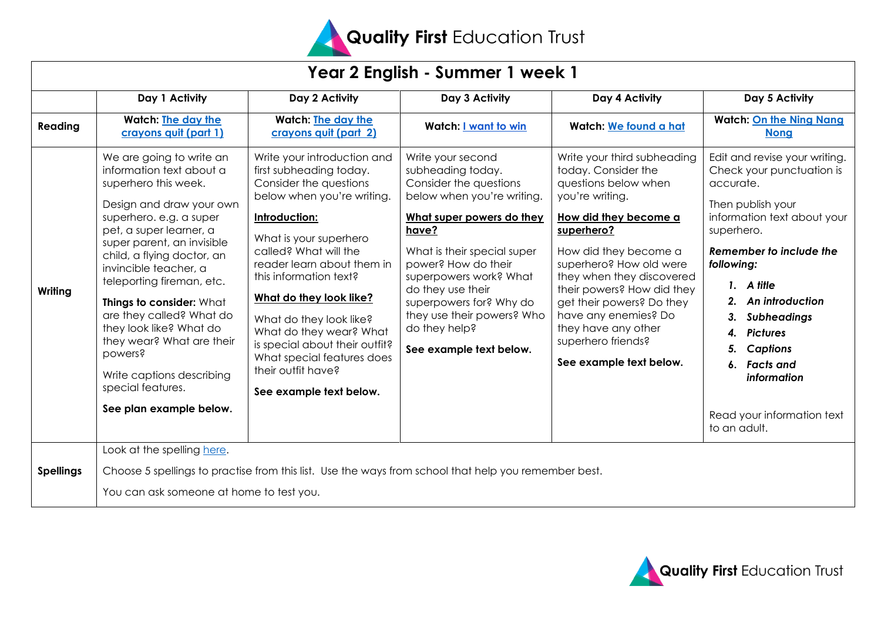

| Year 2 English - Summer 1 week 1 |                                                                                                                                                                                                                                                                                                                                                                                                                                                                                          |                                                                                                                                                                                                                                                                                                                                                                                                                                              |                                                                                                                                                                                                                                                                                                                                                |                                                                                                                                                                                                                                                                                                                                                                                  |                                                                                                                                                                                                                                                                                                                                                                      |
|----------------------------------|------------------------------------------------------------------------------------------------------------------------------------------------------------------------------------------------------------------------------------------------------------------------------------------------------------------------------------------------------------------------------------------------------------------------------------------------------------------------------------------|----------------------------------------------------------------------------------------------------------------------------------------------------------------------------------------------------------------------------------------------------------------------------------------------------------------------------------------------------------------------------------------------------------------------------------------------|------------------------------------------------------------------------------------------------------------------------------------------------------------------------------------------------------------------------------------------------------------------------------------------------------------------------------------------------|----------------------------------------------------------------------------------------------------------------------------------------------------------------------------------------------------------------------------------------------------------------------------------------------------------------------------------------------------------------------------------|----------------------------------------------------------------------------------------------------------------------------------------------------------------------------------------------------------------------------------------------------------------------------------------------------------------------------------------------------------------------|
|                                  | Day 1 Activity                                                                                                                                                                                                                                                                                                                                                                                                                                                                           | Day 2 Activity                                                                                                                                                                                                                                                                                                                                                                                                                               | Day 3 Activity                                                                                                                                                                                                                                                                                                                                 | Day 4 Activity                                                                                                                                                                                                                                                                                                                                                                   | Day 5 Activity                                                                                                                                                                                                                                                                                                                                                       |
| Reading                          | Watch: The day the<br>crayons quit (part 1)                                                                                                                                                                                                                                                                                                                                                                                                                                              | <b>Watch: The day the</b><br>crayons quit (part 2)                                                                                                                                                                                                                                                                                                                                                                                           | Watch: <u>I want to win</u>                                                                                                                                                                                                                                                                                                                    | Watch: We found a hat                                                                                                                                                                                                                                                                                                                                                            | <b>Watch: On the Ning Nang</b><br><b>Nong</b>                                                                                                                                                                                                                                                                                                                        |
| Writing                          | We are going to write an<br>information text about a<br>superhero this week.<br>Design and draw your own<br>superhero. e.g. a super<br>pet, a super learner, a<br>super parent, an invisible<br>child, a flying doctor, an<br>invincible teacher, a<br>teleporting fireman, etc.<br>Things to consider: What<br>are they called? What do<br>they look like? What do<br>they wear? What are their<br>powers?<br>Write captions describing<br>special features.<br>See plan example below. | Write your introduction and<br>first subheading today.<br>Consider the questions<br>below when you're writing.<br>Introduction:<br>What is your superhero<br>called? What will the<br>reader learn about them in<br>this information text?<br>What do they look like?<br>What do they look like?<br>What do they wear? What<br>is special about their outfit?<br>What special features does<br>their outfit have?<br>See example text below. | Write your second<br>subheading today.<br>Consider the questions<br>below when you're writing.<br>What super powers do they<br>have?<br>What is their special super<br>power? How do their<br>superpowers work? What<br>do they use their<br>superpowers for? Why do<br>they use their powers? Who<br>do they help?<br>See example text below. | Write your third subheading<br>today. Consider the<br>questions below when<br>you're writing.<br>How did they become a<br>superhero?<br>How did they become a<br>superhero? How old were<br>they when they discovered<br>their powers? How did they<br>get their powers? Do they<br>have any enemies? Do<br>they have any other<br>superhero friends?<br>See example text below. | Edit and revise your writing.<br>Check your punctuation is<br>accurate.<br>Then publish your<br>information text about your<br>superhero.<br>Remember to include the<br>following:<br>1. A title<br>An introduction<br>3. Subheadings<br><b>Pictures</b><br>4.<br><b>Captions</b><br>5.<br>6. Facts and<br>information<br>Read your information text<br>to an adult. |
| <b>Spellings</b>                 | Look at the spelling here.<br>Choose 5 spellings to practise from this list. Use the ways from school that help you remember best.<br>You can ask someone at home to test you.                                                                                                                                                                                                                                                                                                           |                                                                                                                                                                                                                                                                                                                                                                                                                                              |                                                                                                                                                                                                                                                                                                                                                |                                                                                                                                                                                                                                                                                                                                                                                  |                                                                                                                                                                                                                                                                                                                                                                      |

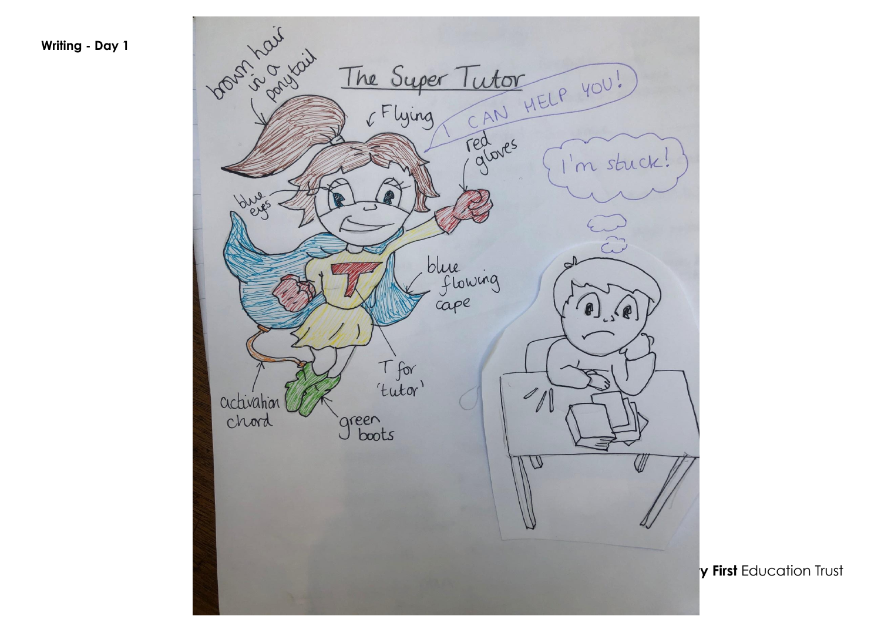**Writing - Day 1** 

Vousing Louis The Super Tutor<br>6 Flying CAN HELP YOU! red oves m stuck! bug  $\tilde{\mathbb{C}}$ blue<br>flowing<br>cape  $\odot$  $\sim$ T for<br>'tutor'  $\mathscr{I}$ activation chord green<br>J boots W  $\langle$ 

y First Education Trust